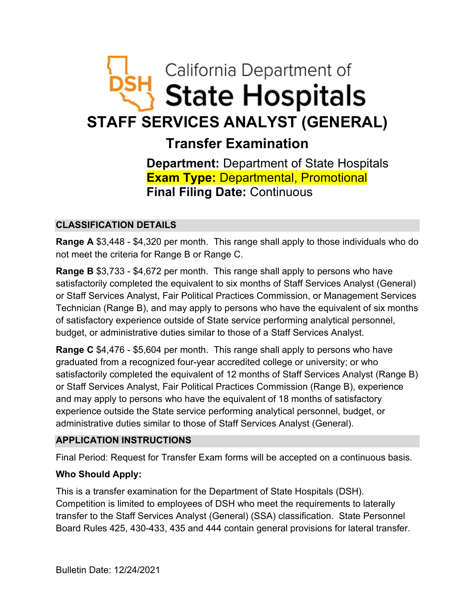# California Department of **State Hospitals STAFF SERVICES ANALYST (GENERAL)**

# **Transfer Examination**

**Department:** Department of State Hospitals **Exam Type:** Departmental, Promotional **Final Filing Date:** Continuous

# **CLASSIFICATION DETAILS**

**Range A** \$3,448 - \$4,320 per month. This range shall apply to those individuals who do not meet the criteria for Range B or Range C.

**Range B** \$3,733 - \$4,672 per month. This range shall apply to persons who have satisfactorily completed the equivalent to six months of Staff Services Analyst (General) or Staff Services Analyst, Fair Political Practices Commission, or Management Services Technician (Range B), and may apply to persons who have the equivalent of six months of satisfactory experience outside of State service performing analytical personnel, budget, or administrative duties similar to those of a Staff Services Analyst.

**Range C** \$4,476 - \$5,604 per month. This range shall apply to persons who have graduated from a recognized four-year accredited college or university; or who satisfactorily completed the equivalent of 12 months of Staff Services Analyst (Range B) or Staff Services Analyst, Fair Political Practices Commission (Range B), experience and may apply to persons who have the equivalent of 18 months of satisfactory experience outside the State service performing analytical personnel, budget, or administrative duties similar to those of Staff Services Analyst (General).

# **APPLICATION INSTRUCTIONS**

Final Period: Request for Transfer Exam forms will be accepted on a continuous basis.

# **Who Should Apply:**

This is a transfer examination for the Department of State Hospitals (DSH). Competition is limited to employees of DSH who meet the requirements to laterally transfer to the Staff Services Analyst (General) (SSA) classification. State Personnel Board Rules 425, 430-433, 435 and 444 contain general provisions for lateral transfer.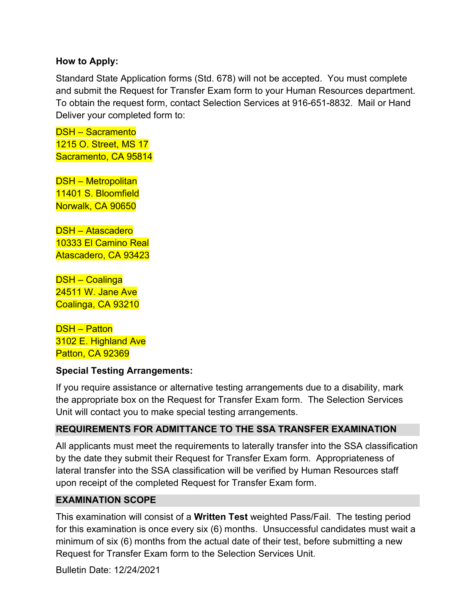#### **How to Apply:**

Standard State Application forms (Std. 678) will not be accepted. You must complete and submit the Request for Transfer Exam form to your Human Resources department. To obtain the request form, contact Selection Services at 916-651-8832. Mail or Hand Deliver your completed form to:

DSH – Sacramento 1215 O. Street, MS 17 Sacramento, CA 95814

DSH – Metropolitan 11401 S. Bloomfield Norwalk, CA 90650

DSH – Atascadero 10333 El Camino Real Atascadero, CA 93423

DSH – Coalinga 24511 W. Jane Ave Coalinga, CA 93210

DSH – Patton 3102 E. Highland Ave Patton, CA 92369

#### **Special Testing Arrangements:**

If you require assistance or alternative testing arrangements due to a disability, mark the appropriate box on the Request for Transfer Exam form. The Selection Services Unit will contact you to make special testing arrangements.

#### **REQUIREMENTS FOR ADMITTANCE TO THE SSA TRANSFER EXAMINATION**

All applicants must meet the requirements to laterally transfer into the SSA classification by the date they submit their Request for Transfer Exam form. Appropriateness of lateral transfer into the SSA classification will be verified by Human Resources staff upon receipt of the completed Request for Transfer Exam form.

#### **EXAMINATION SCOPE**

This examination will consist of a **Written Test** weighted Pass/Fail. The testing period for this examination is once every six (6) months. Unsuccessful candidates must wait a minimum of six (6) months from the actual date of their test, before submitting a new Request for Transfer Exam form to the Selection Services Unit.

Bulletin Date: 12/24/2021